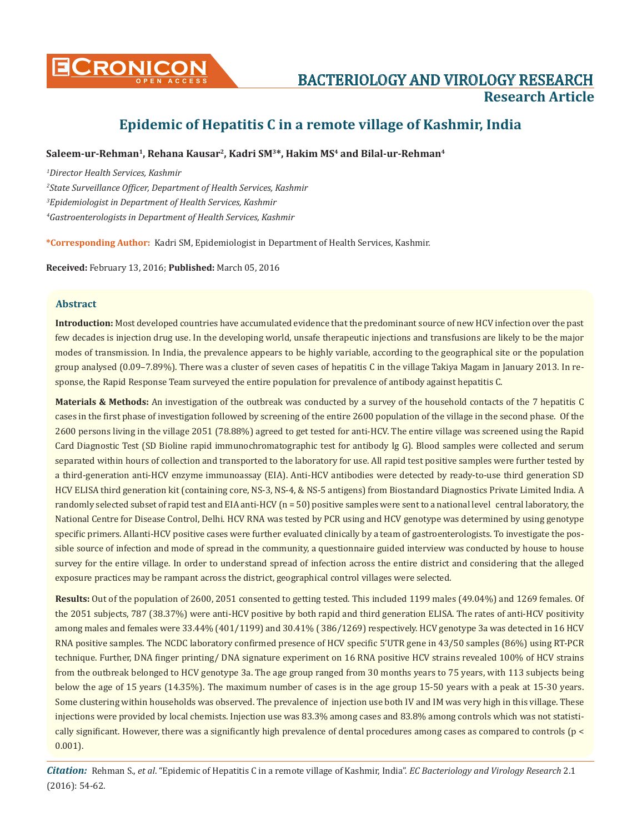

# **Epidemic of Hepatitis C in a remote village of Kashmir, India**

# **Saleem-ur-Rehman1, Rehana Kausar2, Kadri SM3\*, Hakim MS4 and Bilal-ur-Rehman4**

 *Director Health Services, Kashmir State Surveillance Officer, Department of Health Services, Kashmir Epidemiologist in Department of Health Services, Kashmir Gastroenterologists in Department of Health Services, Kashmir*

**\*Corresponding Author:** Kadri SM, Epidemiologist in Department of Health Services, Kashmir.

**Received:** February 13, 2016; **Published:** March 05, 2016

# **Abstract**

**Introduction:** Most developed countries have accumulated evidence that the predominant source of new HCV infection over the past few decades is injection drug use. In the developing world, unsafe therapeutic injections and transfusions are likely to be the major modes of transmission. In India, the prevalence appears to be highly variable, according to the geographical site or the population group analysed (0.09–7.89%). There was a cluster of seven cases of hepatitis C in the village Takiya Magam in January 2013. In response, the Rapid Response Team surveyed the entire population for prevalence of antibody against hepatitis C.

**Materials & Methods:** An investigation of the outbreak was conducted by a survey of the household contacts of the 7 hepatitis C cases in the first phase of investigation followed by screening of the entire 2600 population of the village in the second phase. Of the 2600 persons living in the village 2051 (78.88%) agreed to get tested for anti-HCV. The entire village was screened using the Rapid Card Diagnostic Test (SD Bioline rapid immunochromatographic test for antibody Ig G). Blood samples were collected and serum separated within hours of collection and transported to the laboratory for use. All rapid test positive samples were further tested by a third-generation anti-HCV enzyme immunoassay (EIA). Anti-HCV antibodies were detected by ready-to-use third generation SD HCV ELISA third generation kit (containing core, NS-3, NS-4, & NS-5 antigens) from Biostandard Diagnostics Private Limited India. A randomly selected subset of rapid test and EIA anti-HCV (n = 50) positive samples were sent to a national level central laboratory, the National Centre for Disease Control, Delhi. HCV RNA was tested by PCR using and HCV genotype was determined by using genotype specific primers. Allanti-HCV positive cases were further evaluated clinically by a team of gastroenterologists. To investigate the possible source of infection and mode of spread in the community, a questionnaire guided interview was conducted by house to house survey for the entire village. In order to understand spread of infection across the entire district and considering that the alleged exposure practices may be rampant across the district, geographical control villages were selected.

**Results:** Out of the population of 2600, 2051 consented to getting tested. This included 1199 males (49.04%) and 1269 females. Of the 2051 subjects, 787 (38.37%) were anti-HCV positive by both rapid and third generation ELISA. The rates of anti-HCV positivity among males and females were 33.44% (401/1199) and 30.41% ( 386/1269) respectively. HCV genotype 3a was detected in 16 HCV RNA positive samples. The NCDC laboratory confirmed presence of HCV specific 5'UTR gene in 43/50 samples (86%) using RT-PCR technique. Further, DNA finger printing/ DNA signature experiment on 16 RNA positive HCV strains revealed 100% of HCV strains from the outbreak belonged to HCV genotype 3a. The age group ranged from 30 months years to 75 years, with 113 subjects being below the age of 15 years (14.35%). The maximum number of cases is in the age group 15-50 years with a peak at 15-30 years. Some clustering within households was observed. The prevalence of injection use both IV and IM was very high in this village. These injections were provided by local chemists. Injection use was 83.3% among cases and 83.8% among controls which was not statistically significant. However, there was a significantly high prevalence of dental procedures among cases as compared to controls (p < 0.001).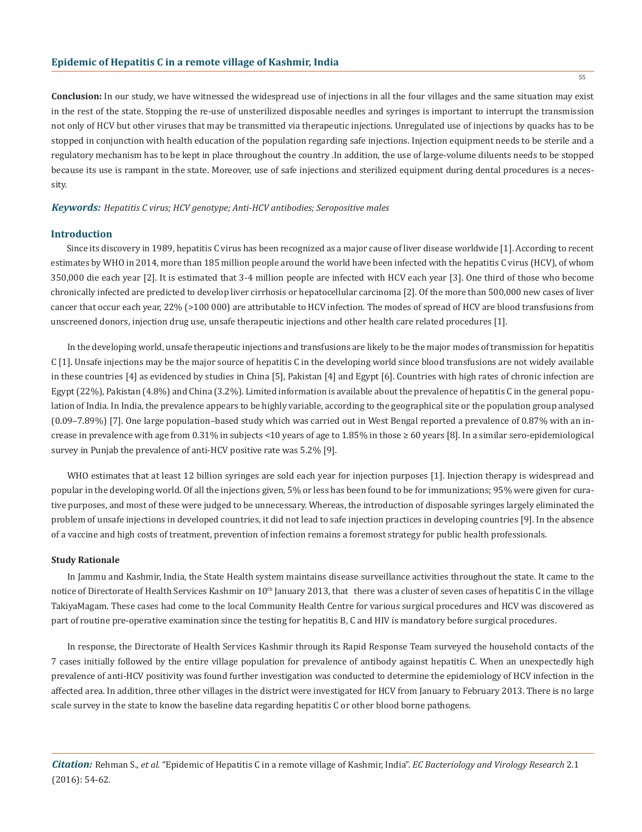**Conclusion:** In our study, we have witnessed the widespread use of injections in all the four villages and the same situation may exist in the rest of the state. Stopping the re-use of unsterilized disposable needles and syringes is important to interrupt the transmission not only of HCV but other viruses that may be transmitted via therapeutic injections. Unregulated use of injections by quacks has to be stopped in conjunction with health education of the population regarding safe injections. Injection equipment needs to be sterile and a regulatory mechanism has to be kept in place throughout the country .In addition, the use of large-volume diluents needs to be stopped because its use is rampant in the state. Moreover, use of safe injections and sterilized equipment during dental procedures is a necessity.

#### *Keywords: Hepatitis C virus; HCV genotype; Anti-HCV antibodies; Seropositive males*

## **Introduction**

Since its discovery in 1989, hepatitis C virus has been recognized as a major cause of liver disease worldwide [1]. According to recent estimates by WHO in 2014, more than 185 million people around the world have been infected with the hepatitis C virus (HCV), of whom 350,000 die each year [2]. It is estimated that 3-4 million people are infected with HCV each year [3]. One third of those who become chronically infected are predicted to develop liver cirrhosis or hepatocellular carcinoma [2]. Of the more than 500,000 new cases of liver cancer that occur each year, 22% (>100 000) are attributable to HCV infection. The modes of spread of HCV are blood transfusions from unscreened donors, injection drug use, unsafe therapeutic injections and other health care related procedures [1].

In the developing world, unsafe therapeutic injections and transfusions are likely to be the major modes of transmission for hepatitis C [1]. Unsafe injections may be the major source of hepatitis C in the developing world since blood transfusions are not widely available in these countries [4] as evidenced by studies in China [5], Pakistan [4] and Egypt [6]. Countries with high rates of chronic infection are Egypt (22%), Pakistan (4.8%) and China (3.2%). Limited information is available about the prevalence of hepatitis C in the general population of India. In India, the prevalence appears to be highly variable, according to the geographical site or the population group analysed (0.09–7.89%) [7]. One large population–based study which was carried out in West Bengal reported a prevalence of 0.87% with an increase in prevalence with age from 0.31% in subjects <10 years of age to 1.85% in those  $\geq 60$  years [8]. In a similar sero-epidemiological survey in Punjab the prevalence of anti-HCV positive rate was 5.2% [9].

WHO estimates that at least 12 billion syringes are sold each year for injection purposes [1]. Injection therapy is widespread and popular in the developing world. Of all the injections given, 5% or less has been found to be for immunizations; 95% were given for curative purposes, and most of these were judged to be unnecessary. Whereas, the introduction of disposable syringes largely eliminated the problem of unsafe injections in developed countries, it did not lead to safe injection practices in developing countries [9]. In the absence of a vaccine and high costs of treatment, prevention of infection remains a foremost strategy for public health professionals.

#### **Study Rationale**

In Jammu and Kashmir, India, the State Health system maintains disease surveillance activities throughout the state. It came to the notice of Directorate of Health Services Kashmir on 10<sup>th</sup> January 2013, that there was a cluster of seven cases of hepatitis C in the village TakiyaMagam. These cases had come to the local Community Health Centre for various surgical procedures and HCV was discovered as part of routine pre-operative examination since the testing for hepatitis B, C and HIV is mandatory before surgical procedures.

In response, the Directorate of Health Services Kashmir through its Rapid Response Team surveyed the household contacts of the 7 cases initially followed by the entire village population for prevalence of antibody against hepatitis C. When an unexpectedly high prevalence of anti-HCV positivity was found further investigation was conducted to determine the epidemiology of HCV infection in the affected area. In addition, three other villages in the district were investigated for HCV from January to February 2013. There is no large scale survey in the state to know the baseline data regarding hepatitis C or other blood borne pathogens.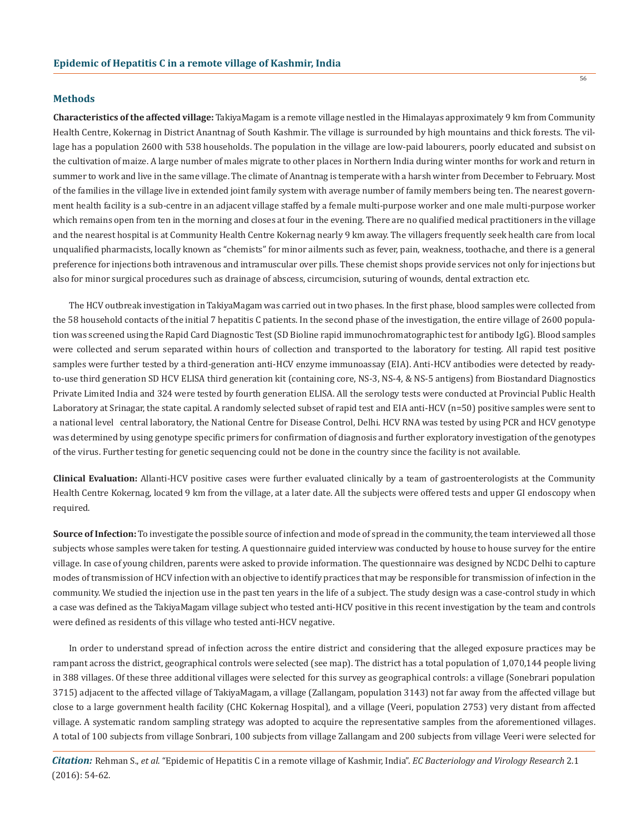#### **Methods**

**Characteristics of the affected village:** TakiyaMagam is a remote village nestled in the Himalayas approximately 9 km from Community Health Centre, Kokernag in District Anantnag of South Kashmir. The village is surrounded by high mountains and thick forests. The village has a population 2600 with 538 households. The population in the village are low-paid labourers, poorly educated and subsist on the cultivation of maize. A large number of males migrate to other places in Northern India during winter months for work and return in summer to work and live in the same village. The climate of Anantnag is temperate with a harsh winter from December to February. Most of the families in the village live in extended joint family system with average number of family members being ten. The nearest government health facility is a sub-centre in an adjacent village staffed by a female multi-purpose worker and one male multi-purpose worker which remains open from ten in the morning and closes at four in the evening. There are no qualified medical practitioners in the village and the nearest hospital is at Community Health Centre Kokernag nearly 9 km away. The villagers frequently seek health care from local unqualified pharmacists, locally known as "chemists" for minor ailments such as fever, pain, weakness, toothache, and there is a general preference for injections both intravenous and intramuscular over pills. These chemist shops provide services not only for injections but also for minor surgical procedures such as drainage of abscess, circumcision, suturing of wounds, dental extraction etc.

The HCV outbreak investigation in TakiyaMagam was carried out in two phases. In the first phase, blood samples were collected from the 58 household contacts of the initial 7 hepatitis C patients. In the second phase of the investigation, the entire village of 2600 population was screened using the Rapid Card Diagnostic Test (SD Bioline rapid immunochromatographic test for antibody IgG). Blood samples were collected and serum separated within hours of collection and transported to the laboratory for testing. All rapid test positive samples were further tested by a third-generation anti-HCV enzyme immunoassay (EIA). Anti-HCV antibodies were detected by readyto-use third generation SD HCV ELISA third generation kit (containing core, NS-3, NS-4, & NS-5 antigens) from Biostandard Diagnostics Private Limited India and 324 were tested by fourth generation ELISA. All the serology tests were conducted at Provincial Public Health Laboratory at Srinagar, the state capital. A randomly selected subset of rapid test and EIA anti-HCV (n=50) positive samples were sent to a national level central laboratory, the National Centre for Disease Control, Delhi. HCV RNA was tested by using PCR and HCV genotype was determined by using genotype specific primers for confirmation of diagnosis and further exploratory investigation of the genotypes of the virus. Further testing for genetic sequencing could not be done in the country since the facility is not available.

**Clinical Evaluation:** Allanti-HCV positive cases were further evaluated clinically by a team of gastroenterologists at the Community Health Centre Kokernag, located 9 km from the village, at a later date. All the subjects were offered tests and upper GI endoscopy when required.

Source of Infection: To investigate the possible source of infection and mode of spread in the community, the team interviewed all those subjects whose samples were taken for testing. A questionnaire guided interview was conducted by house to house survey for the entire village. In case of young children, parents were asked to provide information. The questionnaire was designed by NCDC Delhi to capture modes of transmission of HCV infection with an objective to identify practices that may be responsible for transmission of infection in the community. We studied the injection use in the past ten years in the life of a subject. The study design was a case-control study in which a case was defined as the TakiyaMagam village subject who tested anti-HCV positive in this recent investigation by the team and controls were defined as residents of this village who tested anti-HCV negative.

In order to understand spread of infection across the entire district and considering that the alleged exposure practices may be rampant across the district, geographical controls were selected (see map). The district has a total population of 1,070,144 people living in 388 villages. Of these three additional villages were selected for this survey as geographical controls: a village (Sonebrari population 3715) adjacent to the affected village of TakiyaMagam, a village (Zallangam, population 3143) not far away from the affected village but close to a large government health facility (CHC Kokernag Hospital), and a village (Veeri, population 2753) very distant from affected village. A systematic random sampling strategy was adopted to acquire the representative samples from the aforementioned villages. A total of 100 subjects from village Sonbrari, 100 subjects from village Zallangam and 200 subjects from village Veeri were selected for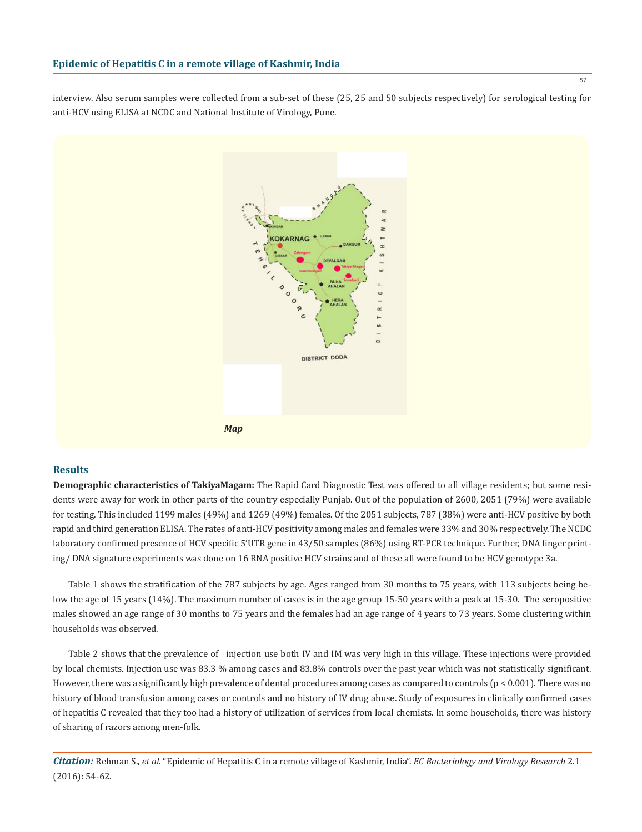interview. Also serum samples were collected from a sub-set of these (25, 25 and 50 subjects respectively) for serological testing for anti-HCV using ELISA at NCDC and National Institute of Virology, Pune.



## **Results**

**Demographic characteristics of TakiyaMagam:** The Rapid Card Diagnostic Test was offered to all village residents; but some residents were away for work in other parts of the country especially Punjab. Out of the population of 2600, 2051 (79%) were available for testing. This included 1199 males (49%) and 1269 (49%) females. Of the 2051 subjects, 787 (38%) were anti-HCV positive by both rapid and third generation ELISA. The rates of anti-HCV positivity among males and females were 33% and 30% respectively. The NCDC laboratory confirmed presence of HCV specific 5'UTR gene in 43/50 samples (86%) using RT-PCR technique. Further, DNA finger printing/ DNA signature experiments was done on 16 RNA positive HCV strains and of these all were found to be HCV genotype 3a.

Table 1 shows the stratification of the 787 subjects by age. Ages ranged from 30 months to 75 years, with 113 subjects being below the age of 15 years (14%). The maximum number of cases is in the age group 15-50 years with a peak at 15-30. The seropositive males showed an age range of 30 months to 75 years and the females had an age range of 4 years to 73 years. Some clustering within households was observed.

Table 2 shows that the prevalence of injection use both IV and IM was very high in this village. These injections were provided by local chemists. Injection use was 83.3 % among cases and 83.8% controls over the past year which was not statistically significant. However, there was a significantly high prevalence of dental procedures among cases as compared to controls  $(p < 0.001)$ . There was no history of blood transfusion among cases or controls and no history of IV drug abuse. Study of exposures in clinically confirmed cases of hepatitis C revealed that they too had a history of utilization of services from local chemists. In some households, there was history of sharing of razors among men-folk.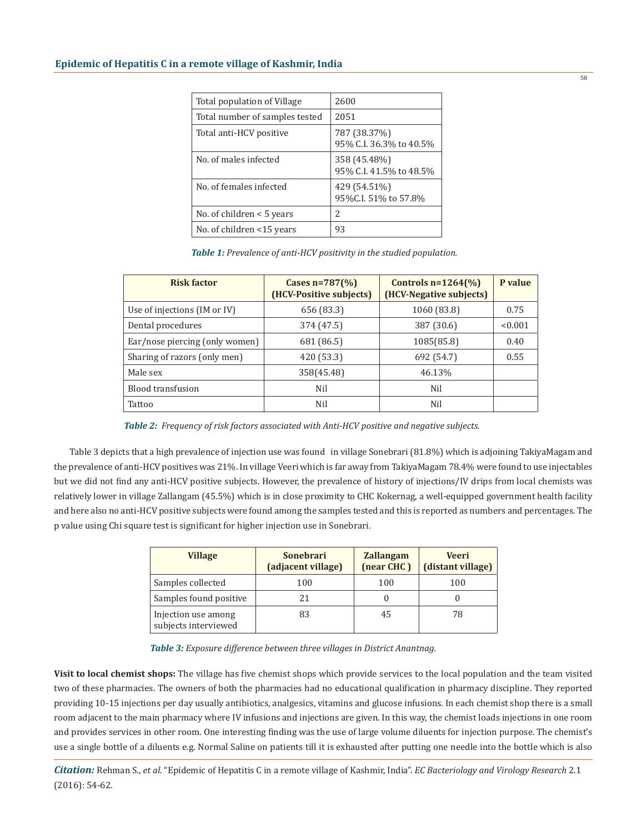| Total population of Village    | 2600                                    |
|--------------------------------|-----------------------------------------|
| Total number of samples tested | 2051                                    |
| Total anti-HCV positive        | 787 (38.37%)<br>95% C.I. 36.3% to 40.5% |
| No. of males infected          | 358 (45.48%)<br>95% C.I. 41.5% to 48.5% |
| No. of females infected        | 429 (54.51%)<br>95% C.I. 51% to 57.8%   |
| No. of children $\leq 5$ years | 2                                       |
| No. of children <15 years      | 93                                      |

| Table 1: Prevalence of anti-HCV positivity in the studied population. |  |  |
|-----------------------------------------------------------------------|--|--|
|-----------------------------------------------------------------------|--|--|

| <b>Risk factor</b>             | Cases $n = 787\frac{6}{6}$<br>(HCV-Positive subjects) | Controls $n=1264\frac{6}{6}$<br>(HCV-Negative subjects) | P value |
|--------------------------------|-------------------------------------------------------|---------------------------------------------------------|---------|
| Use of injections (IM or IV)   | 656 (83.3)                                            | 1060 (83.8)                                             | 0.75    |
| Dental procedures              | 374 (47.5)                                            | 387 (30.6)                                              | < 0.001 |
| Ear/nose piercing (only women) | 681 (86.5)                                            | 1085(85.8)                                              | 0.40    |
| Sharing of razors (only men)   | 420 (53.3)                                            | 692 (54.7)                                              | 0.55    |
| Male sex                       | 358(45.48)                                            | 46.13%                                                  |         |
| <b>Blood transfusion</b>       | Nil                                                   | Nil                                                     |         |
| Tattoo                         | Nil                                                   | Nil                                                     |         |

*Table 2: Frequency of risk factors associated with Anti-HCV positive and negative subjects.*

Table 3 depicts that a high prevalence of injection use was found in village Sonebrari (81.8%) which is adjoining TakiyaMagam and the prevalence of anti-HCV positives was 21%. In village Veeri which is far away from TakiyaMagam 78.4% were found to use injectables but we did not find any anti-HCV positive subjects. However, the prevalence of history of injections/IV drips from local chemists was relatively lower in village Zallangam (45.5%) which is in close proximity to CHC Kokernag, a well-equipped government health facility and here also no anti-HCV positive subjects were found among the samples tested and this is reported as numbers and percentages. The p value using Chi square test is significant for higher injection use in Sonebrari.

| <b>Village</b>                              | <b>Sonebrari</b><br>(adjacent village) | <b>Zallangam</b><br>(near CHC) | <b>Veeri</b><br>(distant village) |
|---------------------------------------------|----------------------------------------|--------------------------------|-----------------------------------|
| Samples collected                           | 100                                    | 100                            | 100                               |
| Samples found positive                      |                                        |                                |                                   |
| Injection use among<br>subjects interviewed |                                        | 45                             | 78                                |

*Table 3: Exposure difference between three villages in District Anantnag.*

**Visit to local chemist shops:** The village has five chemist shops which provide services to the local population and the team visited two of these pharmacies. The owners of both the pharmacies had no educational qualification in pharmacy discipline. They reported providing 10-15 injections per day usually antibiotics, analgesics, vitamins and glucose infusions. In each chemist shop there is a small room adjacent to the main pharmacy where IV infusions and injections are given. In this way, the chemist loads injections in one room and provides services in other room. One interesting finding was the use of large volume diluents for injection purpose. The chemist's use a single bottle of a diluents e.g. Normal Saline on patients till it is exhausted after putting one needle into the bottle which is also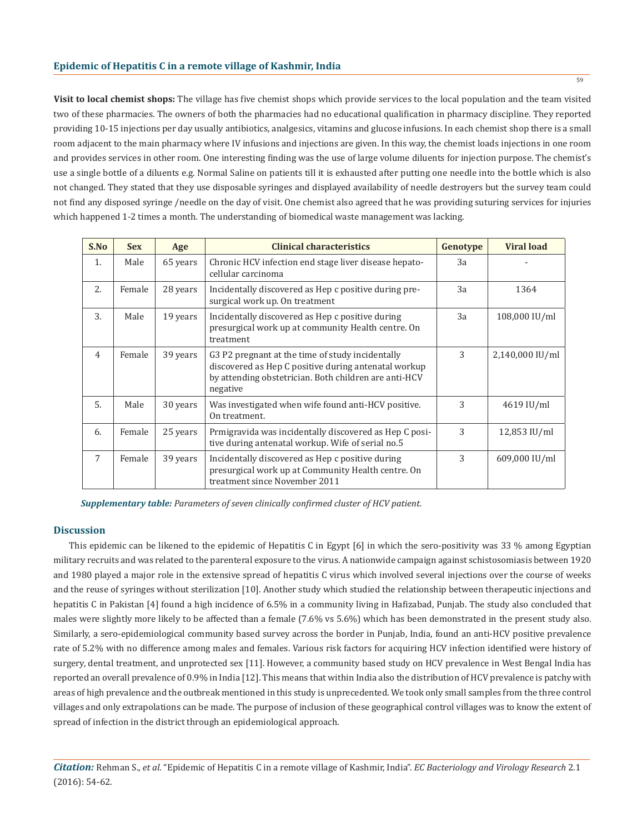**Visit to local chemist shops:** The village has five chemist shops which provide services to the local population and the team visited two of these pharmacies. The owners of both the pharmacies had no educational qualification in pharmacy discipline. They reported providing 10-15 injections per day usually antibiotics, analgesics, vitamins and glucose infusions. In each chemist shop there is a small room adjacent to the main pharmacy where IV infusions and injections are given. In this way, the chemist loads injections in one room and provides services in other room. One interesting finding was the use of large volume diluents for injection purpose. The chemist's use a single bottle of a diluents e.g. Normal Saline on patients till it is exhausted after putting one needle into the bottle which is also not changed. They stated that they use disposable syringes and displayed availability of needle destroyers but the survey team could not find any disposed syringe /needle on the day of visit. One chemist also agreed that he was providing suturing services for injuries which happened 1-2 times a month. The understanding of biomedical waste management was lacking.

| S.No           | <b>Sex</b> | Age      | <b>Clinical characteristics</b>                                                                                                                                               | Genotype | <b>Viral load</b> |
|----------------|------------|----------|-------------------------------------------------------------------------------------------------------------------------------------------------------------------------------|----------|-------------------|
| 1.             | Male       | 65 years | Chronic HCV infection end stage liver disease hepato-<br>cellular carcinoma                                                                                                   | 3a       |                   |
| 2.             | Female     | 28 years | Incidentally discovered as Hep c positive during pre-<br>surgical work up. On treatment                                                                                       | 3a       | 1364              |
| 3.             | Male       | 19 years | Incidentally discovered as Hep c positive during<br>presurgical work up at community Health centre. On<br>treatment                                                           | 3a       | 108,000 IU/ml     |
| $\overline{4}$ | Female     | 39 years | G3 P2 pregnant at the time of study incidentally<br>discovered as Hep C positive during antenatal workup<br>by attending obstetrician. Both children are anti-HCV<br>negative | 3        | 2,140,000 IU/ml   |
| 5.             | Male       | 30 years | Was investigated when wife found anti-HCV positive.<br>On treatment.                                                                                                          | 3        | 4619 IU/ml        |
| 6.             | Female     | 25 years | Prmigravida was incidentally discovered as Hep C posi-<br>tive during antenatal workup. Wife of serial no.5                                                                   | 3        | 12,853 IU/ml      |
| 7              | Female     | 39 years | Incidentally discovered as Hep c positive during<br>presurgical work up at Community Health centre. On<br>treatment since November 2011                                       | 3        | 609,000 IU/ml     |

*Supplementary table: Parameters of seven clinically confirmed cluster of HCV patient.*

## **Discussion**

This epidemic can be likened to the epidemic of Hepatitis C in Egypt [6] in which the sero-positivity was 33 % among Egyptian military recruits and was related to the parenteral exposure to the virus. A nationwide campaign against schistosomiasis between 1920 and 1980 played a major role in the extensive spread of hepatitis C virus which involved several injections over the course of weeks and the reuse of syringes without sterilization [10]. Another study which studied the relationship between therapeutic injections and hepatitis C in Pakistan [4] found a high incidence of 6.5% in a community living in Hafizabad, Punjab. The study also concluded that males were slightly more likely to be affected than a female (7.6% vs 5.6%) which has been demonstrated in the present study also. Similarly, a sero-epidemiological community based survey across the border in Punjab, India, found an anti-HCV positive prevalence rate of 5.2% with no difference among males and females. Various risk factors for acquiring HCV infection identified were history of surgery, dental treatment, and unprotected sex [11]. However, a community based study on HCV prevalence in West Bengal India has reported an overall prevalence of 0.9% in India [12]. This means that within India also the distribution of HCV prevalence is patchy with areas of high prevalence and the outbreak mentioned in this study is unprecedented. We took only small samples from the three control villages and only extrapolations can be made. The purpose of inclusion of these geographical control villages was to know the extent of spread of infection in the district through an epidemiological approach.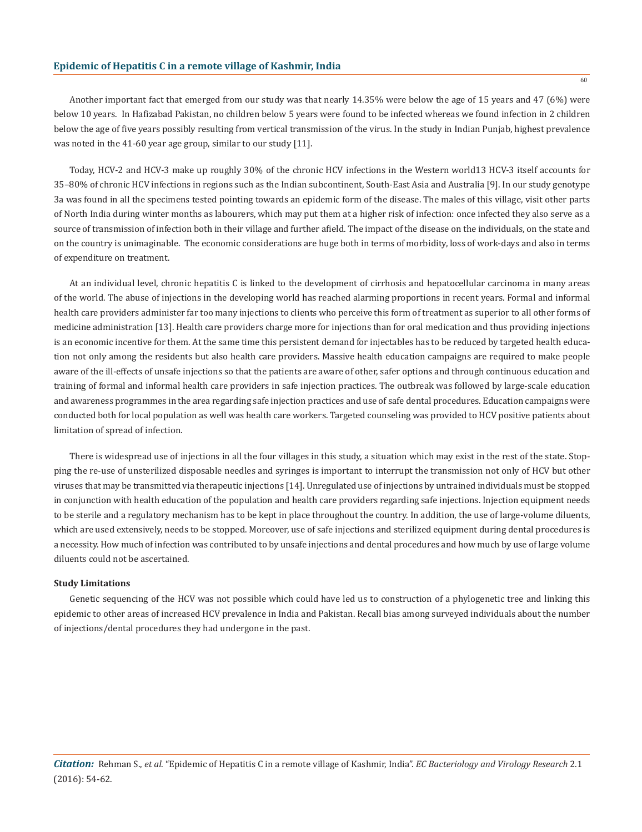Another important fact that emerged from our study was that nearly 14.35% were below the age of 15 years and 47 (6%) were below 10 years. In Hafizabad Pakistan, no children below 5 years were found to be infected whereas we found infection in 2 children below the age of five years possibly resulting from vertical transmission of the virus. In the study in Indian Punjab, highest prevalence was noted in the 41-60 year age group, similar to our study [11].

Today, HCV-2 and HCV-3 make up roughly 30% of the chronic HCV infections in the Western world13 HCV-3 itself accounts for 35–80% of chronic HCV infections in regions such as the Indian subcontinent, South-East Asia and Australia [9]. In our study genotype 3a was found in all the specimens tested pointing towards an epidemic form of the disease. The males of this village, visit other parts of North India during winter months as labourers, which may put them at a higher risk of infection: once infected they also serve as a source of transmission of infection both in their village and further afield. The impact of the disease on the individuals, on the state and on the country is unimaginable. The economic considerations are huge both in terms of morbidity, loss of work-days and also in terms of expenditure on treatment.

At an individual level, chronic hepatitis C is linked to the development of cirrhosis and hepatocellular carcinoma in many areas of the world. The abuse of injections in the developing world has reached alarming proportions in recent years. Formal and informal health care providers administer far too many injections to clients who perceive this form of treatment as superior to all other forms of medicine administration [13]. Health care providers charge more for injections than for oral medication and thus providing injections is an economic incentive for them. At the same time this persistent demand for injectables has to be reduced by targeted health education not only among the residents but also health care providers. Massive health education campaigns are required to make people aware of the ill-effects of unsafe injections so that the patients are aware of other, safer options and through continuous education and training of formal and informal health care providers in safe injection practices. The outbreak was followed by large-scale education and awareness programmes in the area regarding safe injection practices and use of safe dental procedures. Education campaigns were conducted both for local population as well was health care workers. Targeted counseling was provided to HCV positive patients about limitation of spread of infection.

There is widespread use of injections in all the four villages in this study, a situation which may exist in the rest of the state. Stopping the re-use of unsterilized disposable needles and syringes is important to interrupt the transmission not only of HCV but other viruses that may be transmitted via therapeutic injections [14]. Unregulated use of injections by untrained individuals must be stopped in conjunction with health education of the population and health care providers regarding safe injections. Injection equipment needs to be sterile and a regulatory mechanism has to be kept in place throughout the country. In addition, the use of large-volume diluents, which are used extensively, needs to be stopped. Moreover, use of safe injections and sterilized equipment during dental procedures is a necessity. How much of infection was contributed to by unsafe injections and dental procedures and how much by use of large volume diluents could not be ascertained.

#### **Study Limitations**

Genetic sequencing of the HCV was not possible which could have led us to construction of a phylogenetic tree and linking this epidemic to other areas of increased HCV prevalence in India and Pakistan. Recall bias among surveyed individuals about the number of injections/dental procedures they had undergone in the past.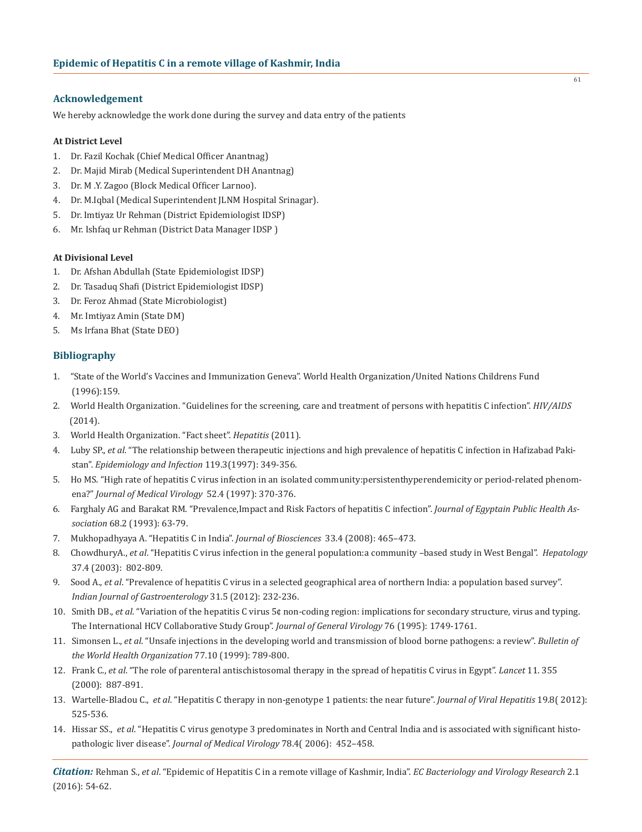# **Acknowledgement**

We hereby acknowledge the work done during the survey and data entry of the patients

# **At District Level**

- 1. Dr. Fazil Kochak (Chief Medical Officer Anantnag)
- 2. Dr. Majid Mirab (Medical Superintendent DH Anantnag)
- 3. Dr. M .Y. Zagoo (Block Medical Officer Larnoo).
- 4. Dr. M.Iqbal (Medical Superintendent JLNM Hospital Srinagar).
- 5. Dr. Imtiyaz Ur Rehman (District Epidemiologist IDSP)
- 6. Mr. Ishfaq ur Rehman (District Data Manager IDSP )

# **At Divisional Level**

- 1. Dr. Afshan Abdullah (State Epidemiologist IDSP)
- 2. Dr. Tasaduq Shafi (District Epidemiologist IDSP)
- 3. Dr. Feroz Ahmad (State Microbiologist)
- 4. Mr. Imtiyaz Amin (State DM)
- 5. Ms Irfana Bhat (State DEO)

# **Bibliography**

- 1. "State of the World's Vaccines and Immunization Geneva". World Health Organization/United Nations Childrens Fund (1996):159.
- 2. World Health Organization. "Guidelines for the screening, care and treatment of persons with hepatitis C infection". *HIV/AIDS*   $(2014).$
- 3. World Health Organization. "Fact sheet". *Hepatitis* (2011).
- 4. Luby SP., *et al*. "The relationship between therapeutic injections and high prevalence of hepatitis C infection in Hafizabad Paki stan". *Epidemiology and Infection* 119.3(1997): 349-356.
- 5. Ho MS. "High rate of hepatitis C virus infection in an isolated community:persistenthyperendemicity or period-related phenom ena?" *Journal of Medical Virology* 52.4 (1997): 370-376.
- 6. Farghaly AG and Barakat RM. "Prevalence,Impact and Risk Factors of hepatitis C infection". *Journal of Egyptain Public Health As sociation* 68.2 (1993): 63-79.
- 7. Mukhopadhyaya A. "Hepatitis C in India". *Journal of Biosciences* 33.4 (2008): 465–473.
- 8. ChowdhuryA., *et al*. "Hepatitis C virus infection in the general population:a community –based study in West Bengal". *Hepatology* 37.4 (2003): 802-809.
- 9. Sood A., *et al*. "Prevalence of hepatitis C virus in a selected geographical area of northern India: a population based survey". *Indian Journal of Gastroenterology* 31.5 (2012): 232-236.
- 10. Smith DB., *et al*. "Variation of the hepatitis C virus 5¢ non-coding region: implications for secondary structure, virus and typing. The International HCV Collaborative Study Group". *Journal of General Virology* 76 (1995): 1749-1761.
- 11. Simonsen L., *et al*. "Unsafe injections in the developing world and transmission of blood borne pathogens: a review". *Bulletin of the World Health Organization* 77.10 (1999): 789-800.
- 12. Frank C., *et al*. "The role of parenteral antischistosomal therapy in the spread of hepatitis C virus in Egypt". *Lancet* 11. 355 (2000): 887-891.
- 13. Wartelle-Bladou C., *et al*. "Hepatitis C therapy in non-genotype 1 patients: the near future". *Journal of Viral Hepatitis* 19.8( 2012): 525-536.
- 14. Hissar SS., *et al*. "Hepatitis C virus genotype 3 predominates in North and Central India and is associated with significant histo pathologic liver disease". *Journal of Medical Virology* 78.4( 2006): 452–458.

*Citation:* Rehman S., *et al*. "Epidemic of Hepatitis C in a remote village of Kashmir, India". *EC Bacteriology and Virology Research* 2.1 (2016): 54-62.

61